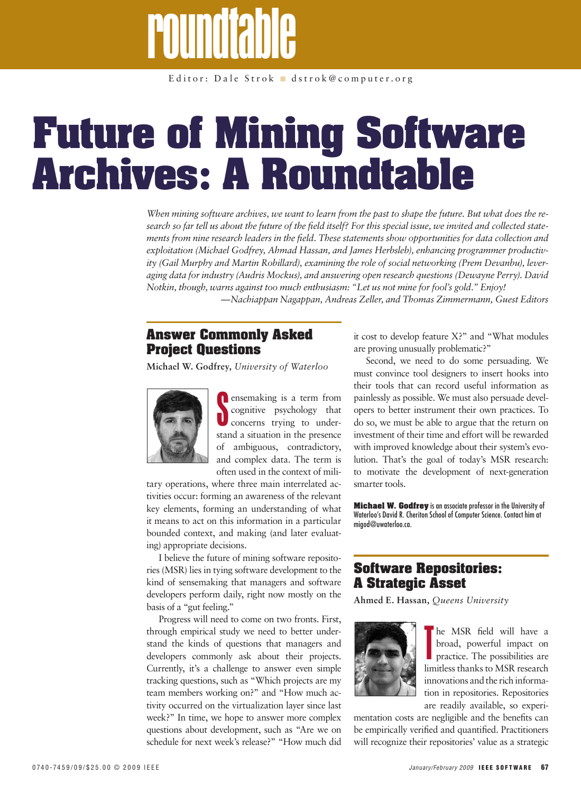# roundtal

# **Future of Mining Software Archives: A Roundtable**

*When mining software archives, we want to learn from the past to shape the future. But what does the research so far tell us about the future of the field itself? For this special issue, we invited and collected statements from nine research leaders in the field. These statements show opportunities for data collection and exploitation (Michael Godfrey, Ahmad Hassan, and James Herbsleb), enhancing programmer productivity (Gail Murphy and Martin Robillard), examining the role of social networking (Prem Devanbu), leveraging data for industry (Audris Mockus), and answering open research questions (Dewayne Perry). David Notkin, though, warns against too much enthusiasm: "Let us not mine for fool's gold." Enjoy! —Nachiappan Nagappan, Andreas Zeller, and Thomas Zimmermann, Guest Editors*

# **Answer Commonly Asked Project Questions**

**Michael W. Godfrey,** *University of Waterloo*



 $\bf{U}$ ensemaking is a term from cognitive psychology that concerns trying to understand a situation in the presence of ambiguous, contradictory, and complex data. The term is often used in the context of mili-

tary operations, where three main interrelated activities occur: forming an awareness of the relevant key elements, forming an understanding of what it means to act on this information in a particular bounded context, and making (and later evaluating) appropriate decisions.

I believe the future of mining software repositories (MSR) lies in tying software development to the kind of sensemaking that managers and software developers perform daily, right now mostly on the basis of a "gut feeling."

Progress will need to come on two fronts. First, through empirical study we need to better understand the kinds of questions that managers and developers commonly ask about their projects. Currently, it's a challenge to answer even simple tracking questions, such as "Which projects are my team members working on?" and "How much activity occurred on the virtualization layer since last week?" In time, we hope to answer more complex questions about development, such as "Are we on schedule for next week's release?" "How much did

it cost to develop feature X?" and "What modules are proving unusually problematic?"

Second, we need to do some persuading. We must convince tool designers to insert hooks into their tools that can record useful information as painlessly as possible. We must also persuade developers to better instrument their own practices. To do so, we must be able to argue that the return on investment of their time and effort will be rewarded with improved knowledge about their system's evolution. That's the goal of today's MSR research: to motivate the development of next-generation smarter tools.

**Michael W. Godfrey** is an associate professor in the University of Waterloo's David R. Cheriton School of Computer Science. Contact him at migod@uwaterloo.ca.

# **Software Repositories: A Strategic Asset**

**Ahmed E. Hassan,** *Queens University*



The MSR field will have a broad, powerful impact on practice. The possibilities are limitless thanks to MSR research he MSR field will have a broad, powerful impact on practice. The possibilities are innovations and the rich information in repositories. Repositories are readily available, so experi-

mentation costs are negligible and the benefits can be empirically verified and quantified. Practitioners will recognize their repositories' value as a strategic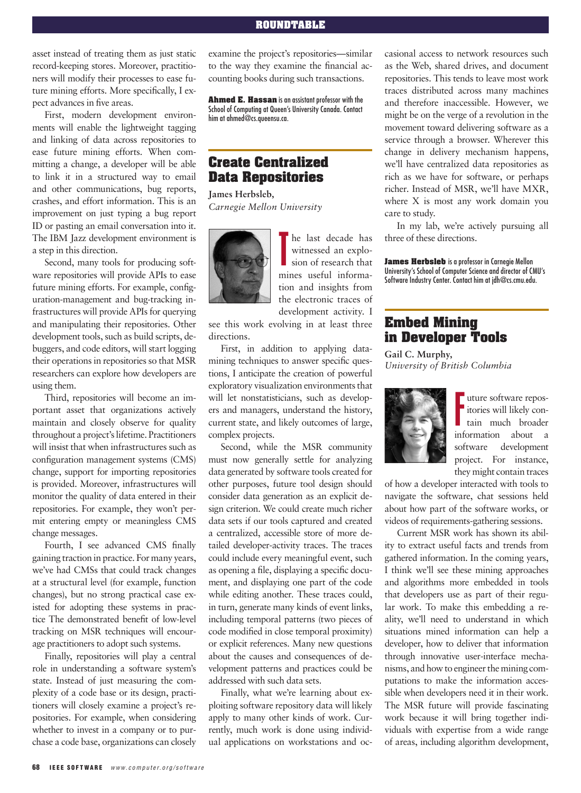#### **Roundtable**

asset instead of treating them as just static record-keeping stores. Moreover, practitioners will modify their processes to ease future mining efforts. More specifically, I expect advances in five areas.

First, modern development environments will enable the lightweight tagging and linking of data across repositories to ease future mining efforts. When committing a change, a developer will be able to link it in a structured way to email and other communications, bug reports, crashes, and effort information. This is an improvement on just typing a bug report ID or pasting an email conversation into it. The IBM Jazz development environment is a step in this direction.

Second, many tools for producing software repositories will provide APIs to ease future mining efforts. For example, configuration-management and bug-tracking infrastructures will provide APIs for querying and manipulating their repositories. Other development tools, such as build scripts, debuggers, and code editors, will start logging their operations in repositories so that MSR researchers can explore how developers are using them.

Third, repositories will become an important asset that organizations actively maintain and closely observe for quality throughout a project's lifetime. Practitioners will insist that when infrastructures such as configuration management systems (CMS) change, support for importing repositories is provided. Moreover, infrastructures will monitor the quality of data entered in their repositories. For example, they won't permit entering empty or meaningless CMS change messages.

Fourth, I see advanced CMS finally gaining traction in practice. For many years, we've had CMSs that could track changes at a structural level (for example, function changes), but no strong practical case existed for adopting these systems in practice The demonstrated benefit of low-level tracking on MSR techniques will encourage practitioners to adopt such systems.

Finally, repositories will play a central role in understanding a software system's state. Instead of just measuring the complexity of a code base or its design, practitioners will closely examine a project's repositories. For example, when considering whether to invest in a company or to purchase a code base, organizations can closely examine the project's repositories—similar to the way they examine the financial accounting books during such transactions.

**Ahmed E. Hassan** is an assistant professor with the School of Computing at Queen's University Canada. Contact him at ahmed@cs.queensu.ca.

### **Create Centralized Data Repositories**

**James Herbsleb,** *Carnegie Mellon University*



The last decade has<br>
witnessed an explo-<br>
sion of research that<br>
mines useful informahe last decade has witnessed an explosion of research that tion and insights from the electronic traces of development activity. I

see this work evolving in at least three directions.

First, in addition to applying datamining techniques to answer specific questions, I anticipate the creation of powerful exploratory visualization environments that will let nonstatisticians, such as developers and managers, understand the history, current state, and likely outcomes of large, complex projects.

Second, while the MSR community must now generally settle for analyzing data generated by software tools created for other purposes, future tool design should consider data generation as an explicit design criterion. We could create much richer data sets if our tools captured and created a centralized, accessible store of more detailed developer-activity traces. The traces could include every meaningful event, such as opening a file, displaying a specific document, and displaying one part of the code while editing another. These traces could, in turn, generate many kinds of event links, including temporal patterns (two pieces of code modified in close temporal proximity) or explicit references. Many new questions about the causes and consequences of development patterns and practices could be addressed with such data sets.

Finally, what we're learning about exploiting software repository data will likely apply to many other kinds of work. Currently, much work is done using individual applications on workstations and oc-

casional access to network resources such as the Web, shared drives, and document repositories. This tends to leave most work traces distributed across many machines and therefore inaccessible. However, we might be on the verge of a revolution in the movement toward delivering software as a service through a browser. Wherever this change in delivery mechanism happens, we'll have centralized data repositories as rich as we have for software, or perhaps richer. Instead of MSR, we'll have MXR, where X is most any work domain you care to study.

In my lab, we're actively pursuing all three of these directions.

**James Herbsleb** is a professor in Carnegie Mellon University's School of Computer Science and director of CMU's Software Industry Center. Contact him at jdh@cs.cmu.edu.

# **Embed Mining in Developer Tools**

**Gail C. Murphy,**  *University of British Columbia*



I uture software repos-<br>itories will likely con-<br>tain much broader<br>information about a uture software repositories will likely contain much broader software development project. For instance, they might contain traces

of how a developer interacted with tools to navigate the software, chat sessions held about how part of the software works, or videos of requirements-gathering sessions.

Current MSR work has shown its ability to extract useful facts and trends from gathered information. In the coming years, I think we'll see these mining approaches and algorithms more embedded in tools that developers use as part of their regular work. To make this embedding a reality, we'll need to understand in which situations mined information can help a developer, how to deliver that information through innovative user-interface mechanisms, and how to engineer the mining computations to make the information accessible when developers need it in their work. The MSR future will provide fascinating work because it will bring together individuals with expertise from a wide range of areas, including algorithm development,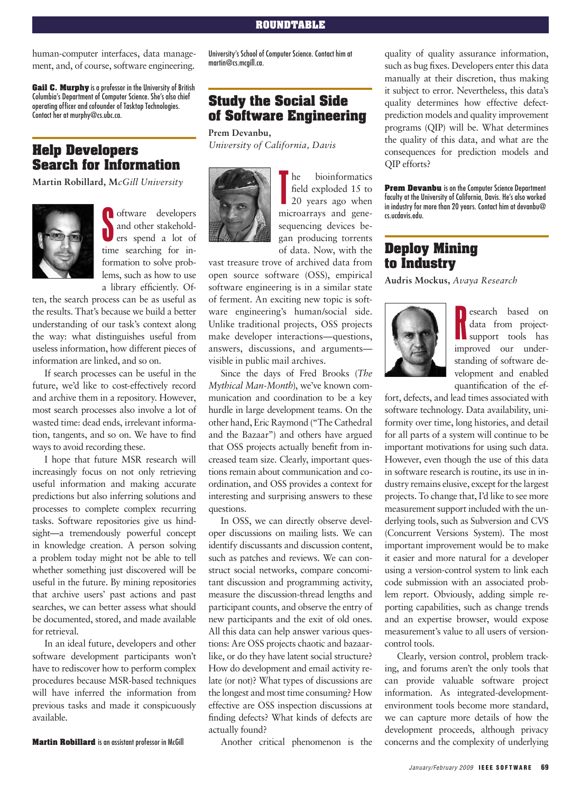#### **Roundtable**

human-computer interfaces, data management, and, of course, software engineering.

**Gail C. Murphy** is a professor in the University of British Columbia's Department of Computer Science. She's also chief operating officer and cofounder of Tasktop Technologies. Contact her at murphy@cs.ubc.ca.

## **Help Developers Search for Information**

**Martin Robillard, M***cGill University*



oftware developers<br>
and other stakehold-<br>
ers spend a lot of<br>
time searching for inoftware developers and other stakeholders spend a lot of formation to solve problems, such as how to use a library efficiently. Of-

ten, the search process can be as useful as the results. That's because we build a better understanding of our task's context along the way: what distinguishes useful from useless information, how different pieces of information are linked, and so on.

If search processes can be useful in the future, we'd like to cost-effectively record and archive them in a repository. However, most search processes also involve a lot of wasted time: dead ends, irrelevant information, tangents, and so on. We have to find ways to avoid recording these.

I hope that future MSR research will increasingly focus on not only retrieving useful information and making accurate predictions but also inferring solutions and processes to complete complex recurring tasks. Software repositories give us hindsight—a tremendously powerful concept in knowledge creation. A person solving a problem today might not be able to tell whether something just discovered will be useful in the future. By mining repositories that archive users' past actions and past searches, we can better assess what should be documented, stored, and made available for retrieval.

In an ideal future, developers and other software development participants won't have to rediscover how to perform complex procedures because MSR-based techniques will have inferred the information from previous tasks and made it conspicuously available.

**Martin Robillard** is an assistant professor in McGill

University's School of Computer Science. Contact him at martin@cs.mcgill.ca.

# **Study the Social Side of Software Engineering**

**Prem Devanbu,**  *University of California, Davis*



The bioinformatics<br>field exploded 15 to<br>20 years ago when<br>microarrays and genehe bioinformatics field exploded 15 to 20 years ago when sequencing devices began producing torrents of data. Now, with the

vast treasure trove of archived data from open source software (OSS), empirical software engineering is in a similar state of ferment. An exciting new topic is software engineering's human/social side. Unlike traditional projects, OSS projects make developer interactions—questions, answers, discussions, and arguments visible in public mail archives.

Since the days of Fred Brooks (*The Mythical Man-Month*), we've known communication and coordination to be a key hurdle in large development teams. On the other hand, Eric Raymond ("The Cathedral and the Bazaar") and others have argued that OSS projects actually benefit from increased team size. Clearly, important questions remain about communication and coordination, and OSS provides a context for interesting and surprising answers to these questions.

In OSS, we can directly observe developer discussions on mailing lists. We can identify discussants and discussion content, such as patches and reviews. We can construct social networks, compare concomitant discussion and programming activity, measure the discussion-thread lengths and participant counts, and observe the entry of new participants and the exit of old ones. All this data can help answer various questions: Are OSS projects chaotic and bazaarlike, or do they have latent social structure? How do development and email activity relate (or not)? What types of discussions are the longest and most time consuming? How effective are OSS inspection discussions at finding defects? What kinds of defects are actually found?

Another critical phenomenon is the

quality of quality assurance information, such as bug fixes. Developers enter this data manually at their discretion, thus making it subject to error. Nevertheless, this data's quality determines how effective defectprediction models and quality improvement programs (QIP) will be. What determines the quality of this data, and what are the consequences for prediction models and QIP efforts?

**Prem Devanbu** is on the Computer Science Department faculty at the University of California, Davis. He's also worked in industry for more than 20 years. Contact him at devanbu@ cs.ucdavis.edu.

# **Deploy Mining to Industry**

**Audris Mockus,** *Avaya Research*



**R** esearch based on data from project-support tools has improved our underesearch based on data from projectsupport tools has standing of software development and enabled quantification of the ef-

fort, defects, and lead times associated with software technology. Data availability, uniformity over time, long histories, and detail for all parts of a system will continue to be important motivations for using such data. However, even though the use of this data in software research is routine, its use in industry remains elusive, except for the largest projects. To change that, I'd like to see more measurement support included with the underlying tools, such as Subversion and CVS (Concurrent Versions System). The most important improvement would be to make it easier and more natural for a developer using a version-control system to link each code submission with an associated problem report. Obviously, adding simple reporting capabilities, such as change trends and an expertise browser, would expose measurement's value to all users of versioncontrol tools.

Clearly, version control, problem tracking, and forums aren't the only tools that can provide valuable software project information. As integrated-developmentenvironment tools become more standard, we can capture more details of how the development proceeds, although privacy concerns and the complexity of underlying